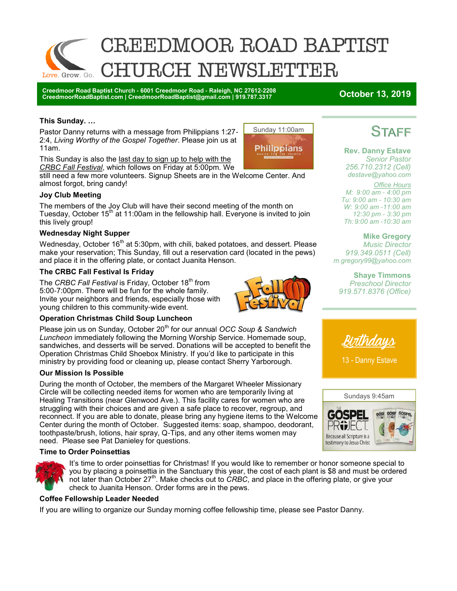

**Creedmoor Road Baptist Church - 6001 Creedmoor Road - Raleigh, NC 27612-2208 CreedmoorRoadBaptist.com | CreedmoorRoadBaptist@gmail.com | 919.787.3317 October 13, 2019**

### **This Sunday. …**

Pastor Danny returns with a message from Philippians 1:27- 2:4, *Living Worthy of the Gospel Together*. Please join us at 11am.

This Sunday is also the last day to sign up to help with the

*CRBC Fall Festival*, which follows on Friday at 5:00pm. We still need a few more volunteers. Signup Sheets are in the Welcome Center. And almost forgot, bring candy!

### **Joy Club Meeting**

The members of the Joy Club will have their second meeting of the month on Tuesday, October 15<sup>th</sup> at 11:00am in the fellowship hall. Everyone is invited to join this lively group!

### **Wednesday Night Supper**

Wednesday, October 16<sup>th</sup> at 5:30pm, with chili, baked potatoes, and dessert. Please make your reservation; This Sunday, fill out a reservation card (located in the pews) and place it in the offering plate, or contact Juanita Henson.

### **The CRBC Fall Festival Is Friday**

The *CRBC Fall Festival* is Friday, October 18th from 5:00-7:00pm. There will be fun for the whole family. Invite your neighbors and friends, especially those with young children to this community-wide event.



Sunday 11:00am

**Philippians** 

### **Operation Christmas Child Soup Luncheon**

Please join us on Sunday, October 20<sup>th</sup> for our annual *OCC Soup & Sandwich Luncheon* immediately following the Morning Worship Service. Homemade soup, sandwiches, and desserts will be served. Donations will be accepted to benefit the Operation Christmas Child Shoebox Ministry. If you'd like to participate in this ministry by providing food or cleaning up, please contact Sherry Yarborough.

### **Our Mission Is Possible**

During the month of October, the members of the Margaret Wheeler Missionary Circle will be collecting needed items for women who are temporarily living at Healing Transitions (near Glenwood Ave.). This facility cares for women who are struggling with their choices and are given a safe place to recover, regroup, and reconnect. If you are able to donate, please bring any hygiene items to the Welcome Center during the month of October. Suggested items: soap, shampoo, deodorant, toothpaste/brush, lotions, hair spray, Q-Tips, and any other items women may need. Please see Pat Danieley for questions.

### **Time to Order Poinsettias**



It's time to order poinsettias for Christmas! If you would like to remember or honor someone special to you by placing a poinsettia in the Sanctuary this year, the cost of each plant is \$8 and must be ordered not later than October 27<sup>th</sup>. Make checks out to *CRBC*, and place in the offering plate, or give your check to Juanita Henson. Order forms are in the pews.

### **Coffee Fellowship Leader Needed**

If you are willing to organize our Sunday morning coffee fellowship time, please see Pastor Danny.

# **STAFF**

**Rev. Danny Estave** *Senior Pastor 256.710.2312 (Cell) destave@yahoo.com*

*Office Hours M: 9:00 am - 4:00 pm Tu: 9:00 am - 10:30 am W: 9:00 am -11:00 am 12:30 pm - 3:30 pm Th: 9:00 am -10:30 am* 

**Mike Gregory** *Music Director 919.349.0511 (Cell) m.gregory99@yahoo.com* 

**Shaye Timmons** *Preschool Director 919.571.8376 (Office)*



13 - Danny Estave